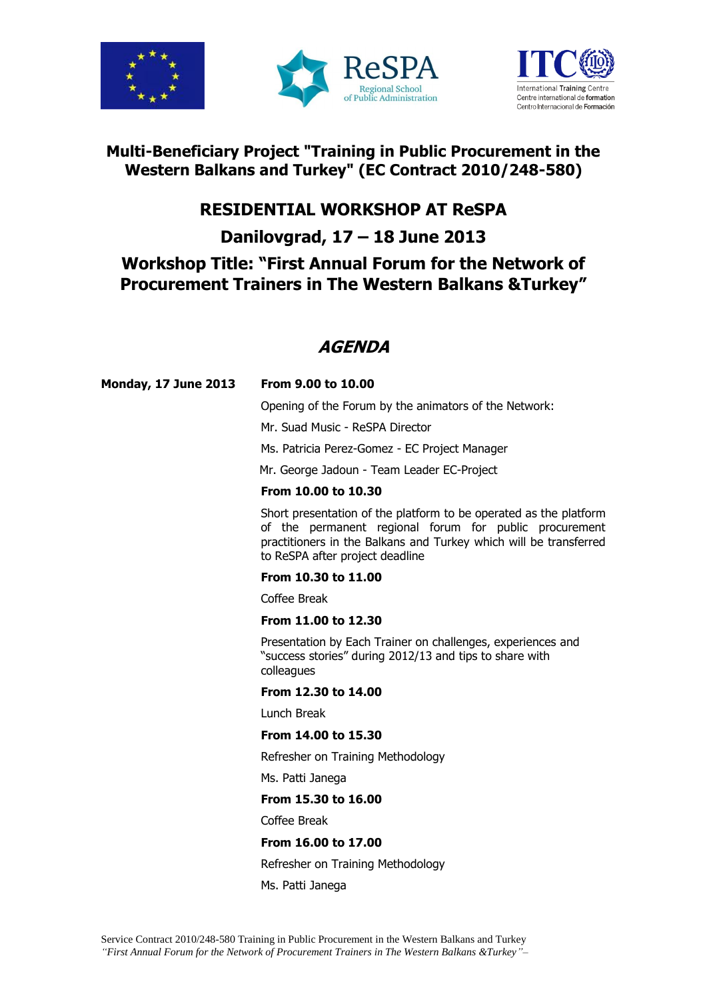





# **Multi-Beneficiary Project "Training in Public Procurement in the Western Balkans and Turkey" (EC Contract 2010/248-580)**

# **RESIDENTIAL WORKSHOP AT ReSPA**

**Danilovgrad, 17 – 18 June 2013**

# **Workshop Title: "First Annual Forum for the Network of Procurement Trainers in The Western Balkans &Turkey"**

# **AGENDA**

**Monday, 17 June 2013 From 9.00 to 10.00**

Opening of the Forum by the animators of the Network:

Mr. Suad Music - ReSPA Director

Ms. Patricia Perez-Gomez - EC Project Manager

Mr. George Jadoun - Team Leader EC-Project

## **From 10.00 to 10.30**

Short presentation of the platform to be operated as the platform of the permanent regional forum for public procurement practitioners in the Balkans and Turkey which will be transferred to ReSPA after project deadline

# **From 10.30 to 11.00**

Coffee Break

# **From 11.00 to 12.30**

Presentation by Each Trainer on challenges, experiences and "success stories" during 2012/13 and tips to share with colleagues

## **From 12.30 to 14.00**

Lunch Break

# **From 14.00 to 15.30**

Refresher on Training Methodology

Ms. Patti Janega

# **From 15.30 to 16.00**

Coffee Break

# **From 16.00 to 17.00**

Refresher on Training Methodology

Ms. Patti Janega